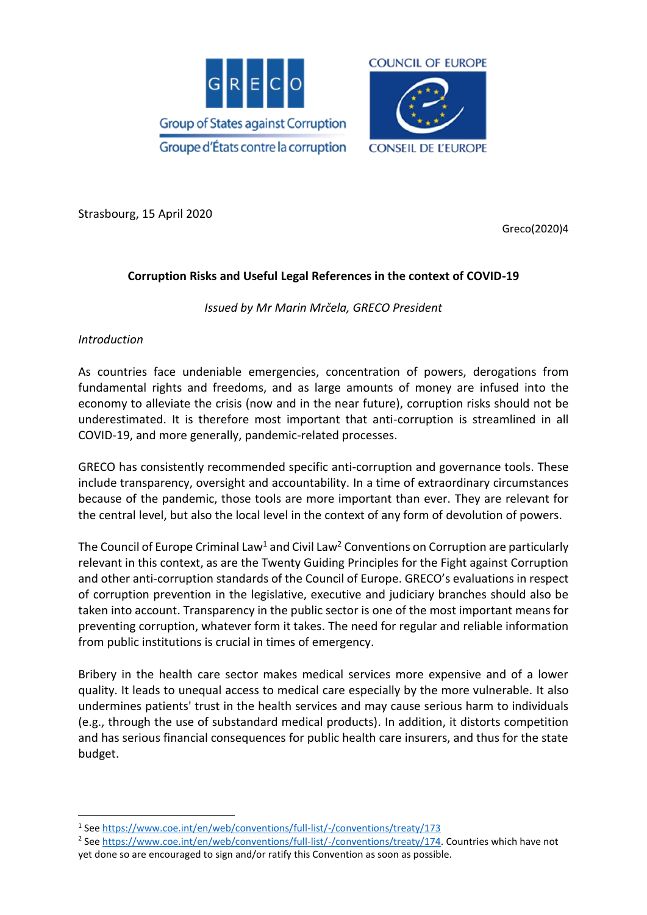



Strasbourg, 15 April 2020

Greco(2020)4

### **Corruption Risks and Useful Legal References in the context of COVID-19**

*Issued by Mr Marin Mrčela, GRECO President*

#### *Introduction*

1

As countries face undeniable emergencies, concentration of powers, derogations from fundamental rights and freedoms, and as large amounts of money are infused into the economy to alleviate the crisis (now and in the near future), corruption risks should not be underestimated. It is therefore most important that anti-corruption is streamlined in all COVID-19, and more generally, pandemic-related processes.

GRECO has consistently recommended specific anti-corruption and governance tools. These include transparency, oversight and accountability. In a time of extraordinary circumstances because of the pandemic, those tools are more important than ever. They are relevant for the central level, but also the local level in the context of any form of devolution of powers.

The Council of Europe Criminal Law<sup>1</sup> and Civil Law<sup>2</sup> Conventions on Corruption are particularly relevant in this context, as are the Twenty Guiding Principles for the Fight against Corruption and other anti-corruption standards of the Council of Europe. GRECO's evaluations in respect of corruption prevention in the legislative, executive and judiciary branches should also be taken into account. Transparency in the public sector is one of the most important means for preventing corruption, whatever form it takes. The need for regular and reliable information from public institutions is crucial in times of emergency.

Bribery in the health care sector makes medical services more expensive and of a lower quality. It leads to unequal access to medical care especially by the more vulnerable. It also undermines patients' trust in the health services and may cause serious harm to individuals (e.g., through the use of substandard medical products). In addition, it distorts competition and has serious financial consequences for public health care insurers, and thus for the state budget.

<sup>2</sup> See [https://www.coe.int/en/web/conventions/full-list/-/conventions/treaty/174.](https://www.coe.int/en/web/conventions/full-list/-/conventions/treaty/174) Countries which have not yet done so are encouraged to sign and/or ratify this Convention as soon as possible.

<sup>&</sup>lt;sup>1</sup> See<https://www.coe.int/en/web/conventions/full-list/-/conventions/treaty/173>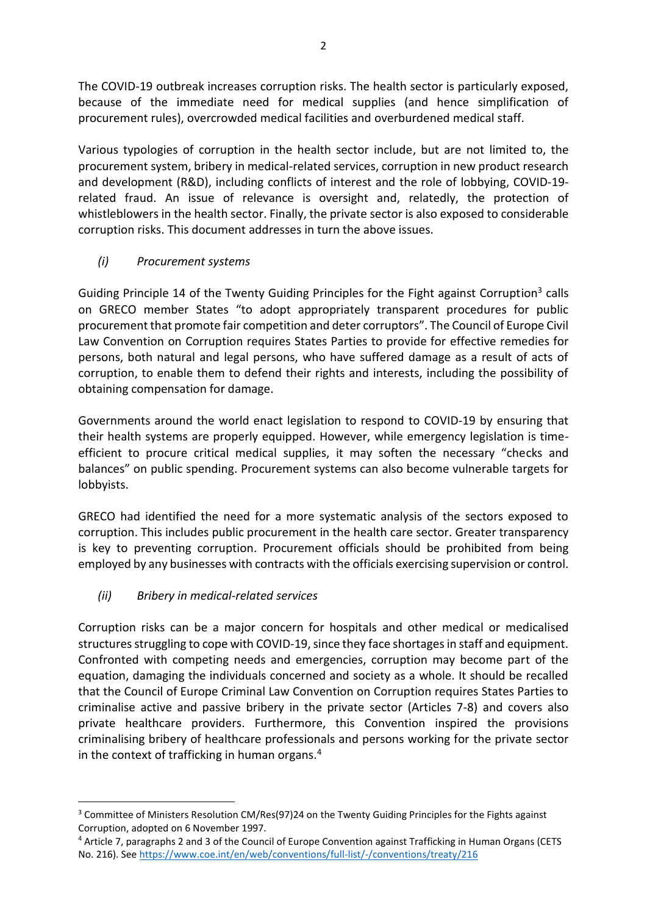The COVID-19 outbreak increases corruption risks. The health sector is particularly exposed, because of the immediate need for medical supplies (and hence simplification of procurement rules), overcrowded medical facilities and overburdened medical staff.

Various typologies of corruption in the health sector include, but are not limited to, the procurement system, bribery in medical-related services, corruption in new product research and development (R&D), including conflicts of interest and the role of lobbying, COVID-19 related fraud. An issue of relevance is oversight and, relatedly, the protection of whistleblowers in the health sector. Finally, the private sector is also exposed to considerable corruption risks. This document addresses in turn the above issues.

### *(i) Procurement systems*

Guiding Principle 14 of the Twenty Guiding Principles for the Fight against Corruption<sup>3</sup> calls on GRECO member States "to adopt appropriately transparent procedures for public procurement that promote fair competition and deter corruptors". The Council of Europe Civil Law Convention on Corruption requires States Parties to provide for effective remedies for persons, both natural and legal persons, who have suffered damage as a result of acts of corruption, to enable them to defend their rights and interests, including the possibility of obtaining compensation for damage.

Governments around the world enact legislation to respond to COVID-19 by ensuring that their health systems are properly equipped. However, while emergency legislation is timeefficient to procure critical medical supplies, it may soften the necessary "checks and balances" on public spending. Procurement systems can also become vulnerable targets for lobbyists.

GRECO had identified the need for a more systematic analysis of the sectors exposed to corruption. This includes public procurement in the health care sector. Greater transparency is key to preventing corruption. Procurement officials should be prohibited from being employed by any businesses with contracts with the officials exercising supervision or control.

### *(ii) Bribery in medical-related services*

**.** 

Corruption risks can be a major concern for hospitals and other medical or medicalised structures struggling to cope with COVID-19, since they face shortages in staff and equipment. Confronted with competing needs and emergencies, corruption may become part of the equation, damaging the individuals concerned and society as a whole. It should be recalled that the Council of Europe Criminal Law Convention on Corruption requires States Parties to criminalise active and passive bribery in the private sector (Articles 7-8) and covers also private healthcare providers. Furthermore, this Convention inspired the provisions criminalising bribery of healthcare professionals and persons working for the private sector in the context of trafficking in human organs.<sup>4</sup>

<sup>&</sup>lt;sup>3</sup> Committee of Ministers Resolution CM/Res(97)24 on the Twenty Guiding Principles for the Fights against Corruption, adopted on 6 November 1997.

<sup>4</sup> Article 7, paragraphs 2 and 3 of the Council of Europe Convention against Trafficking in Human Organs (CETS No. 216). Se[e https://www.coe.int/en/web/conventions/full-list/-/conventions/treaty/216](https://www.coe.int/en/web/conventions/full-list/-/conventions/treaty/216)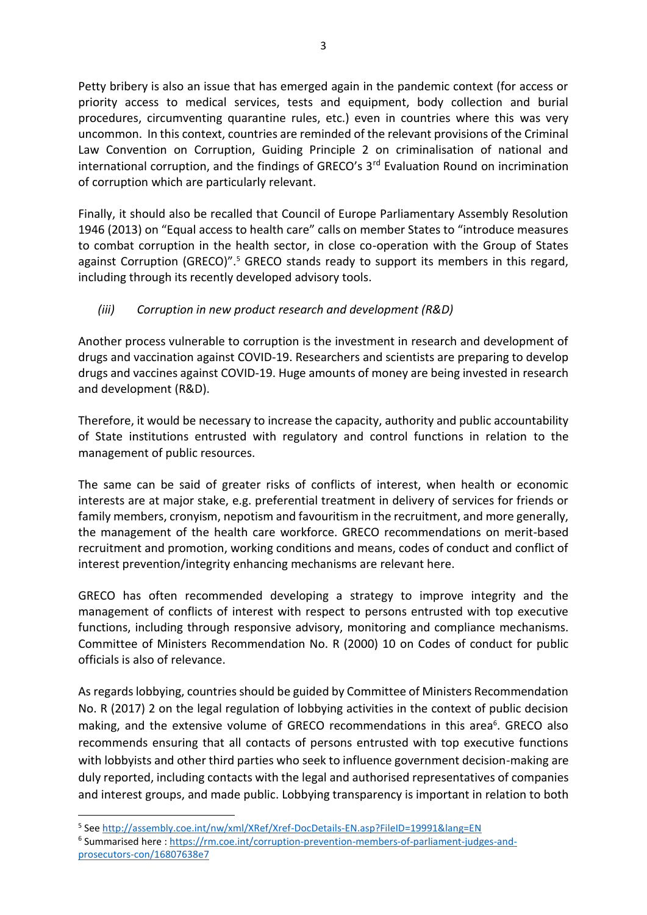Petty bribery is also an issue that has emerged again in the pandemic context (for access or priority access to medical services, tests and equipment, body collection and burial procedures, circumventing quarantine rules, etc.) even in countries where this was very uncommon. In this context, countries are reminded of the relevant provisions of the Criminal Law Convention on Corruption, Guiding Principle 2 on criminalisation of national and international corruption, and the findings of GRECO's  $3<sup>rd</sup>$  Evaluation Round on incrimination of corruption which are particularly relevant.

Finally, it should also be recalled that Council of Europe Parliamentary Assembly Resolution 1946 (2013) on "Equal access to health care" calls on member States to "introduce measures to combat corruption in the health sector, in close co-operation with the Group of States against Corruption (GRECO)".<sup>5</sup> GRECO stands ready to support its members in this regard, including through its recently developed advisory tools.

### *(iii) Corruption in new product research and development (R&D)*

Another process vulnerable to corruption is the investment in research and development of drugs and vaccination against COVID-19. Researchers and scientists are preparing to develop drugs and vaccines against COVID-19. Huge amounts of money are being invested in research and development (R&D).

Therefore, it would be necessary to increase the capacity, authority and public accountability of State institutions entrusted with regulatory and control functions in relation to the management of public resources.

The same can be said of greater risks of conflicts of interest, when health or economic interests are at major stake, e.g. preferential treatment in delivery of services for friends or family members, cronyism, nepotism and favouritism in the recruitment, and more generally, the management of the health care workforce. GRECO recommendations on merit-based recruitment and promotion, working conditions and means, codes of conduct and conflict of interest prevention/integrity enhancing mechanisms are relevant here.

GRECO has often recommended developing a strategy to improve integrity and the management of conflicts of interest with respect to persons entrusted with top executive functions, including through responsive advisory, monitoring and compliance mechanisms. Committee of Ministers Recommendation No. R (2000) 10 on Codes of conduct for public officials is also of relevance.

As regards lobbying, countries should be guided by Committee of Ministers Recommendation No. R (2017) 2 on the legal regulation of lobbying activities in the context of public decision making, and the extensive volume of GRECO recommendations in this area<sup>6</sup>. GRECO also recommends ensuring that all contacts of persons entrusted with top executive functions with lobbyists and other third parties who seek to influence government decision-making are duly reported, including contacts with the legal and authorised representatives of companies and interest groups, and made public. Lobbying transparency is important in relation to both

1

<sup>6</sup> Summarised here: [https://rm.coe.int/corruption-prevention-members-of-parliament-judges-and](https://rm.coe.int/corruption-prevention-members-of-parliament-judges-and-prosecutors-con/16807638e7)[prosecutors-con/16807638e7](https://rm.coe.int/corruption-prevention-members-of-parliament-judges-and-prosecutors-con/16807638e7)

<sup>&</sup>lt;sup>5</sup> See<http://assembly.coe.int/nw/xml/XRef/Xref-DocDetails-EN.asp?FileID=19991&lang=EN>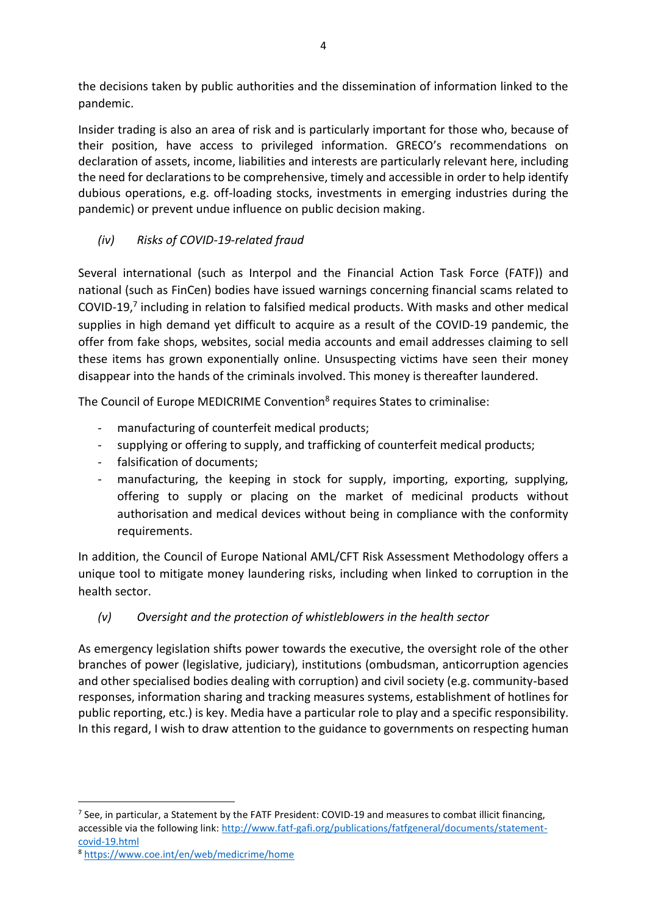the decisions taken by public authorities and the dissemination of information linked to the pandemic.

Insider trading is also an area of risk and is particularly important for those who, because of their position, have access to privileged information. GRECO's recommendations on declaration of assets, income, liabilities and interests are particularly relevant here, including the need for declarations to be comprehensive, timely and accessible in order to help identify dubious operations, e.g. off-loading stocks, investments in emerging industries during the pandemic) or prevent undue influence on public decision making.

## *(iv) Risks of COVID-19-related fraud*

Several international (such as Interpol and the Financial Action Task Force (FATF)) and national (such as FinCen) bodies have issued warnings concerning financial scams related to COVID-19,<sup>7</sup> including in relation to falsified medical products. With masks and other medical supplies in high demand yet difficult to acquire as a result of the COVID-19 pandemic, the offer from fake shops, websites, social media accounts and email addresses claiming to sell these items has grown exponentially online. Unsuspecting victims have seen their money disappear into the hands of the criminals involved. This money is thereafter laundered.

The Council of Europe MEDICRIME Convention<sup>8</sup> requires States to criminalise:

- manufacturing of counterfeit medical products;
- supplying or offering to supply, and trafficking of counterfeit medical products;
- falsification of documents:
- manufacturing, the keeping in stock for supply, importing, exporting, supplying, offering to supply or placing on the market of medicinal products without authorisation and medical devices without being in compliance with the conformity requirements.

In addition, the Council of Europe National AML/CFT Risk Assessment Methodology offers a unique tool to mitigate money laundering risks, including when linked to corruption in the health sector.

# *(v) Oversight and the protection of whistleblowers in the health sector*

As emergency legislation shifts power towards the executive, the oversight role of the other branches of power (legislative, judiciary), institutions (ombudsman, anticorruption agencies and other specialised bodies dealing with corruption) and civil society (e.g. community-based responses, information sharing and tracking measures systems, establishment of hotlines for public reporting, etc.) is key. Media have a particular role to play and a specific responsibility. In this regard, I wish to draw attention to the guidance to governments on respecting human

**.** 

<sup>&</sup>lt;sup>7</sup> See, in particular, a Statement by the FATF President: COVID-19 and measures to combat illicit financing, accessible via the following link: [http://www.fatf-gafi.org/publications/fatfgeneral/documents/statement](http://www.fatf-gafi.org/publications/fatfgeneral/documents/statement-covid-19.html)[covid-19.html](http://www.fatf-gafi.org/publications/fatfgeneral/documents/statement-covid-19.html)

<sup>8</sup> <https://www.coe.int/en/web/medicrime/home>